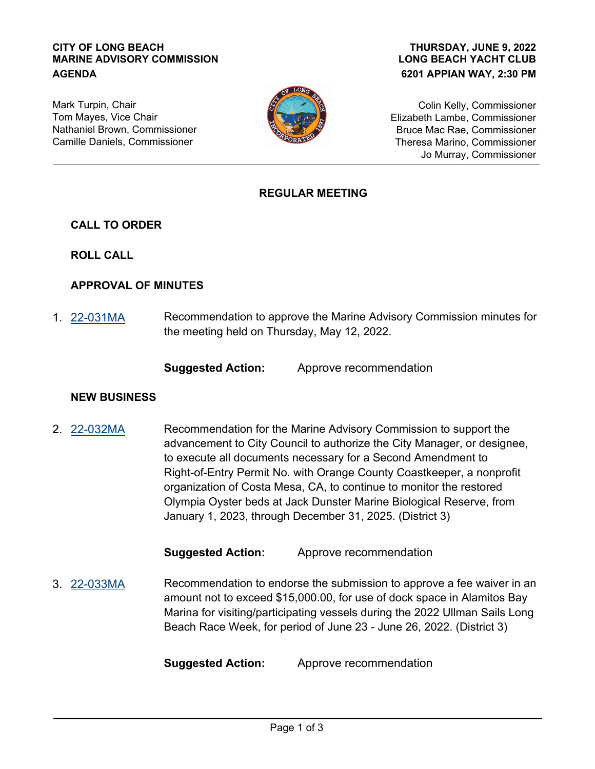#### **CITY OF LONG BEACH MARINE ADVISORY COMMISSION AGENDA**

### **LONG BEACH YACHT CLUB 6201 APPIAN WAY, 2:30 PM THURSDAY, JUNE 9, 2022**

Mark Turpin, Chair Tom Mayes, Vice Chair Nathaniel Brown, Commissioner Camille Daniels, Commissioner



Colin Kelly, Commissioner Elizabeth Lambe, Commissioner Bruce Mac Rae, Commissioner Theresa Marino, Commissioner Jo Murray, Commissioner

### **REGULAR MEETING**

**CALL TO ORDER**

**ROLL CALL**

### **APPROVAL OF MINUTES**

Recommendation to approve the Marine Advisory Commission minutes for the meeting held on Thursday, May 12, 2022. 1. [22-031MA](http://longbeach.legistar.com/gateway.aspx?M=L&ID=239656)

**Suggested Action:** Approve recommendation

### **NEW BUSINESS**

Recommendation for the Marine Advisory Commission to support the advancement to City Council to authorize the City Manager, or designee, to execute all documents necessary for a Second Amendment to Right-of-Entry Permit No. with Orange County Coastkeeper, a nonprofit organization of Costa Mesa, CA, to continue to monitor the restored Olympia Oyster beds at Jack Dunster Marine Biological Reserve, from January 1, 2023, through December 31, 2025. (District 3) 2. [22-032MA](http://longbeach.legistar.com/gateway.aspx?M=L&ID=239657)

**Suggested Action:** Approve recommendation

Recommendation to endorse the submission to approve a fee waiver in an amount not to exceed \$15,000.00, for use of dock space in Alamitos Bay Marina for visiting/participating vessels during the 2022 Ullman Sails Long Beach Race Week, for period of June 23 - June 26, 2022. (District 3) 3. [22-033MA](http://longbeach.legistar.com/gateway.aspx?M=L&ID=239658)

**Suggested Action:** Approve recommendation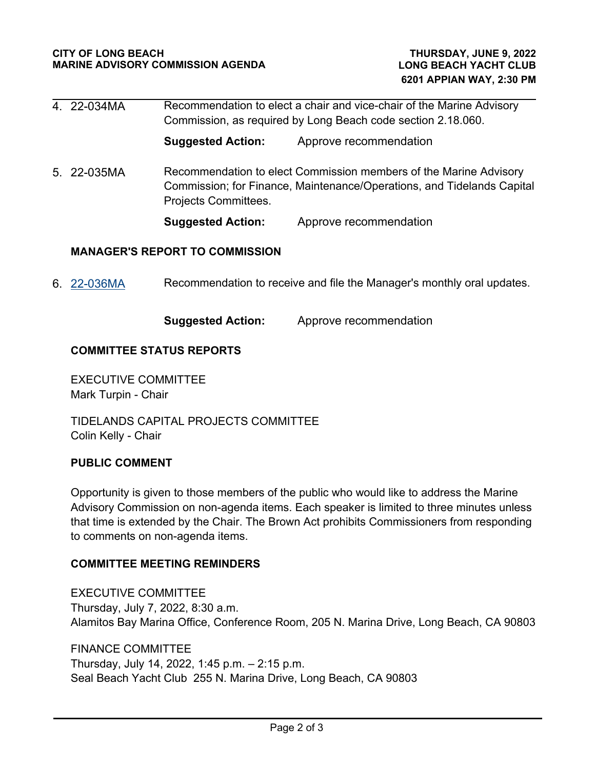|                                       | 4. 22-034MA | Recommendation to elect a chair and vice-chair of the Marine Advisory<br>Commission, as required by Long Beach code section 2.18.060. |                                                                                                                                             |
|---------------------------------------|-------------|---------------------------------------------------------------------------------------------------------------------------------------|---------------------------------------------------------------------------------------------------------------------------------------------|
|                                       |             | <b>Suggested Action:</b>                                                                                                              | Approve recommendation                                                                                                                      |
|                                       | 5. 22-035MA | Projects Committees.                                                                                                                  | Recommendation to elect Commission members of the Marine Advisory<br>Commission; for Finance, Maintenance/Operations, and Tidelands Capital |
|                                       |             | <b>Suggested Action:</b>                                                                                                              | Approve recommendation                                                                                                                      |
| <b>MANAGER'S REPORT TO COMMISSION</b> |             |                                                                                                                                       |                                                                                                                                             |
| 6.                                    | 22-036MA    | Recommendation to receive and file the Manager's monthly oral updates.                                                                |                                                                                                                                             |

**Suggested Action:** Approve recommendation

# **COMMITTEE STATUS REPORTS**

EXECUTIVE COMMITTEE Mark Turpin - Chair

TIDELANDS CAPITAL PROJECTS COMMITTEE Colin Kelly - Chair

# **PUBLIC COMMENT**

Opportunity is given to those members of the public who would like to address the Marine Advisory Commission on non-agenda items. Each speaker is limited to three minutes unless that time is extended by the Chair. The Brown Act prohibits Commissioners from responding to comments on non-agenda items.

# **COMMITTEE MEETING REMINDERS**

EXECUTIVE COMMITTEE Thursday, July 7, 2022, 8:30 a.m. Alamitos Bay Marina Office, Conference Room, 205 N. Marina Drive, Long Beach, CA 90803

FINANCE COMMITTEE Thursday, July 14, 2022, 1:45 p.m. – 2:15 p.m. Seal Beach Yacht Club 255 N. Marina Drive, Long Beach, CA 90803